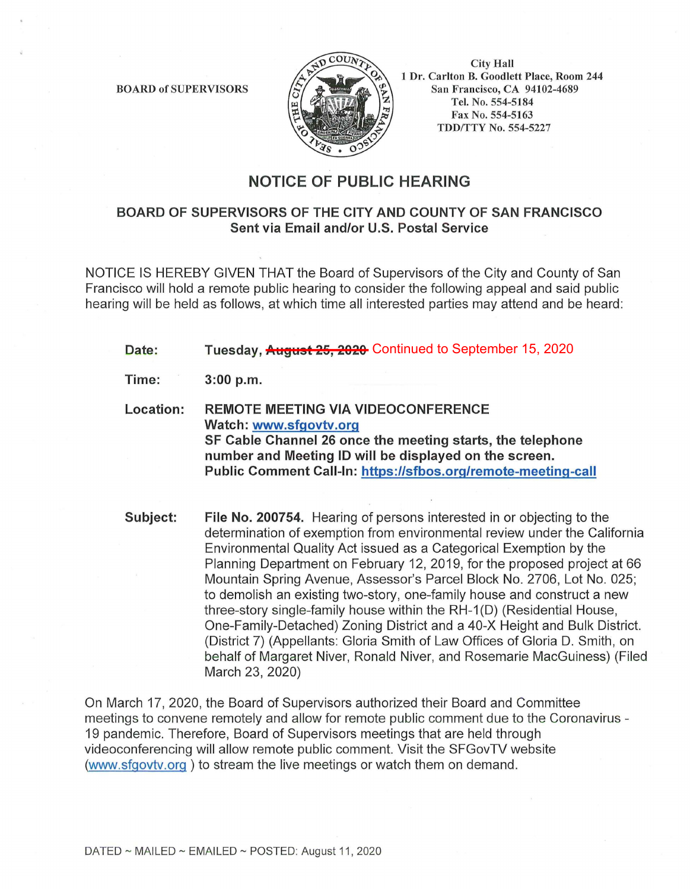BOARD of SUPERVISORS



City Hall **1** Dr. Ca rlton B. Goodlett Place, Room 244 San Francisco, CA 94102-4689 Tel. No. 554-5184 Fax No. 554-5163 TDD/TTY No. 554-5227

## **NOTICE OF PUBLIC HEARING**

## **BOARD OF SUPERVISORS OF THE CITY AND COUNTY OF SAN FRANCISCO Sent via Email and/or U.S. Postal Service**

NOTICE IS HEREBY GIVEN THAT the Board of Supervisors of the City and County of San Francisco will hold a remote public hearing to consider the following appeal and said public hearing will be held as follows, at which time all interested parties may attend and be heard:

- **Date: Tuesday, <del>August 25, 2020</del> C**ontinued to September 15, 2020
- **Time: 3:00 p.m.**
- **Location: REMOTE MEETING VIA VIDEOCONFERENCE Watch: www.sfgovtv.org SF Cable Channel 26 once the meeting starts, the telephone number and Meeting ID will be displayed on the screen. Public Comment Call-In: https://sfbos.org/remote-meeting-call**

**Subject: File No. 200754.** Hearing of persons interested in or objecting to the determination of exemption from environmental review under the California Environmental Quality Act issued as a Categorical Exemption by the Planning Department on February 12, 2019, for the proposed project at 66 Mountain Spring Avenue, Assessor's Parcel Block No. 2706, Lot No. 025; to demolish an existing two-story, one-family house and construct a new three-story single-family house within the RH-1 (D) (Residential House, One-Family-Detached) Zoning District and a 40-X Height and Bulk District. (District 7) (Appellants: Gloria Smith of Law Offices of Gloria D. Smith, on behalf of Margaret Niver, Ronald Niver, and Rosemarie MacGuiness) (Filed March 23, 2020)

On March 17, 2020, the Board of Supervisors authorized their Board and Committee meetings to convene remotely and allow for remote public comment due to the Coronavirus - 19 pandemic. Therefore, Board of Supervisors meetings that are held through videoconferencing will allow remote public comment. Visit the SFGovTV website (www.sfgovtv.org ) to stream the live meetings or watch them on demand.